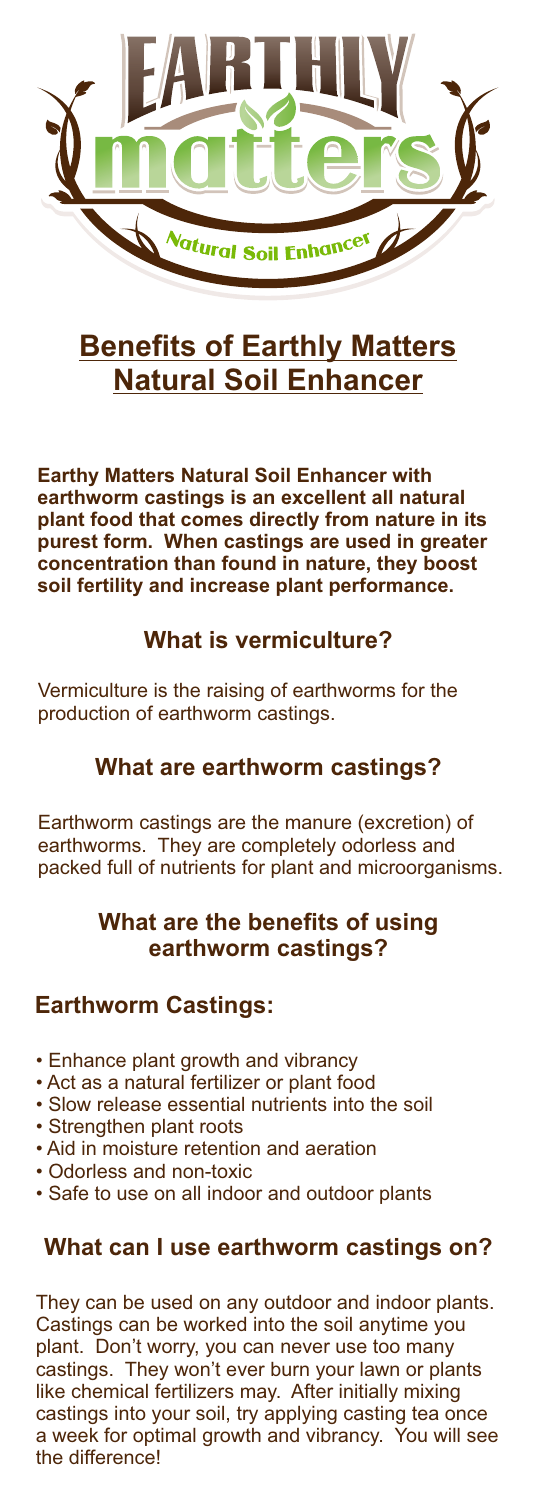

# **Benefits of Earthly Matters Natural Soil Enhancer**

**Earthy Matters Natural Soil Enhancer with earthworm castings is an excellent all natural plant food that comes directly from nature in its purest form. When castings are used in greater concentration than found in nature, they boost soil fertility and increase plant performance.**

## **What is vermiculture?**

Vermiculture is the raising of earthworms for the production of earthworm castings.

#### **What are earthworm castings?**

Earthworm castings are the manure (excretion) of earthworms. They are completely odorless and packed full of nutrients for plant and microorganisms.

## **What are the benefits of using earthworm castings?**

#### **Earthworm Castings:**

- Enhance plant growth and vibrancy
- Act as a natural fertilizer or plant food
- Slow release essential nutrients into the soil
- Strengthen plant roots
- Aid in moisture retention and aeration
- Odorless and non-toxic
- Safe to use on all indoor and outdoor plants

## **What can I use earthworm castings on?**

They can be used on any outdoor and indoor plants. Castings can be worked into the soil anytime you plant. Don't worry, you can never use too many castings. They won't ever burn your lawn or plants like chemical fertilizers may. After initially mixing castings into your soil, try applying casting tea once a week for optimal growth and vibrancy. You will see the difference!